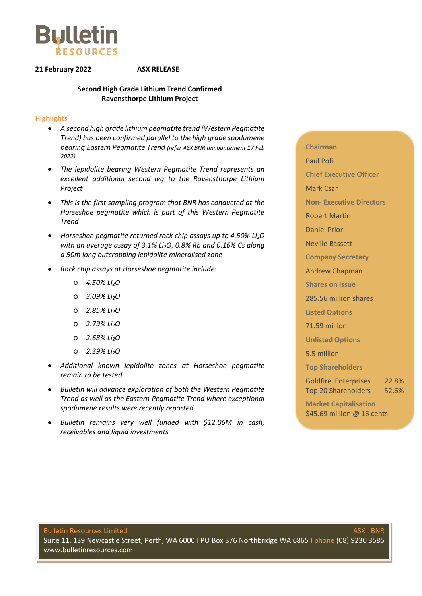

#### **21 February 2022 ASX RELEASE**

#### **Second High Grade Lithium Trend Confirmed Ravensthorpe Lithium Project**

#### **Highlights**

- *A second high grade lithium pegmatite trend (Western Pegmatite Trend) has been confirmed parallel to the high grade spodumene bearing Eastern Pegmatite Trend (refer ASX BNR announcement 17 Feb 2022)*
- *The lepidolite bearing Western Pegmatite Trend represents an excellent additional second leg to the Ravensthorpe Lithium Project*
- *This is the first sampling program that BNR has conducted at the Horseshoe pegmatite which is part of this Western Pegmatite Trend*
- *Horseshoe pegmatite returned rock chip assays up to 4.50% Li2O with an average assay of 3.1% Li2O, 0.8% Rb and 0.16% Cs along a 50m long outcropping lepidolite mineralised zone*
- *Rock chip assays at Horseshoe pegmatite include:* 
	- o *4.50% Li2O*
	- o *3.09% Li2O*
	- o *2.85% Li2O*
	- o *2.79% Li2O*
	- o *2.68% Li2O*
	- o *2.39% Li2O*
- *Additional known lepidolite zones at Horseshoe pegmatite remain to be tested*
- *Bulletin will advance exploration of both the Western Pegmatite Trend as well as the Eastern Pegmatite Trend where exceptional spodumene results were recently reported*
- *Bulletin remains very well funded with \$12.06M in cash, receivables and liquid investments*

**Chairman** Paul Poli **Chief Executive Officer** Mark Csar **Non- Executive Directors** Robert Martin Daniel Prior Neville Bassett **Company Secretary** Andrew Chapman **Shares on Issue** 285.56 million shares **Listed Options** 71.59 million **Unlisted Options** 5.5 million

**Top Shareholders**

Goldfire Enterprises 22.8% Top 20 Shareholders 52.6%

**Market Capitalisation** \$45.69 million @ 16 cents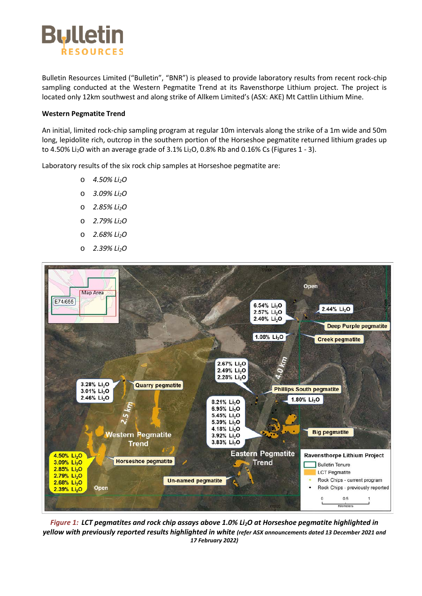

Bulletin Resources Limited ("Bulletin", "BNR") is pleased to provide laboratory results from recent rock-chip sampling conducted at the Western Pegmatite Trend at its Ravensthorpe Lithium project. The project is located only 12km southwest and along strike of Allkem Limited's (ASX: AKE) Mt Cattlin Lithium Mine.

#### **Western Pegmatite Trend**

An initial, limited rock-chip sampling program at regular 10m intervals along the strike of a 1m wide and 50m long, lepidolite rich, outcrop in the southern portion of the Horseshoe pegmatite returned lithium grades up to 4.50% Li<sub>2</sub>O with an average grade of 3.1% Li<sub>2</sub>O, 0.8% Rb and 0.16% Cs (Figures 1 - 3).

Laboratory results of the six rock chip samples at Horseshoe pegmatite are:

- o *4.50% Li2O*
- o *3.09% Li2O*
- o *2.85% Li2O*
- o *2.79% Li2O*
- o *2.68% Li2O*
- o *2.39% Li2O*



*Figure 1: LCT pegmatites and rock chip assays above 1.0% Li2O at Horseshoe pegmatite highlighted in yellow with previously reported results highlighted in white (refer ASX announcements dated 13 December 2021 and 17 February 2022)*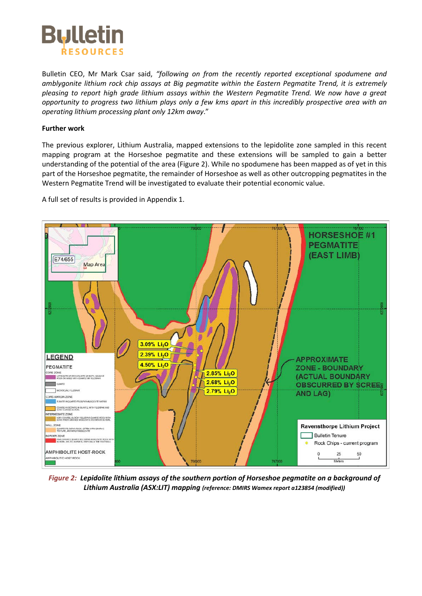

Bulletin CEO, Mr Mark Csar said, *"following on from the recently reported exceptional spodumene and amblygonite lithium rock chip assays at Big pegmatite within the Eastern Pegmatite Trend, it is extremely pleasing to report high grade lithium assays within the Western Pegmatite Trend. We now have a great opportunity to progress two lithium plays only a few kms apart in this incredibly prospective area with an operating lithium processing plant only 12km away*."

#### **Further work**

The previous explorer, Lithium Australia, mapped extensions to the lepidolite zone sampled in this recent mapping program at the Horseshoe pegmatite and these extensions will be sampled to gain a better understanding of the potential of the area (Figure 2). While no spodumene has been mapped as of yet in this part of the Horseshoe pegmatite, the remainder of Horseshoe as well as other outcropping pegmatites in the Western Pegmatite Trend will be investigated to evaluate their potential economic value.

A full set of results is provided in Appendix 1.



*Figure 2: Lepidolite lithium assays of the southern portion of Horseshoe pegmatite on a background of Lithium Australia (ASX:LIT) mapping (reference: DMIRS Wamex report a123854 (modified))*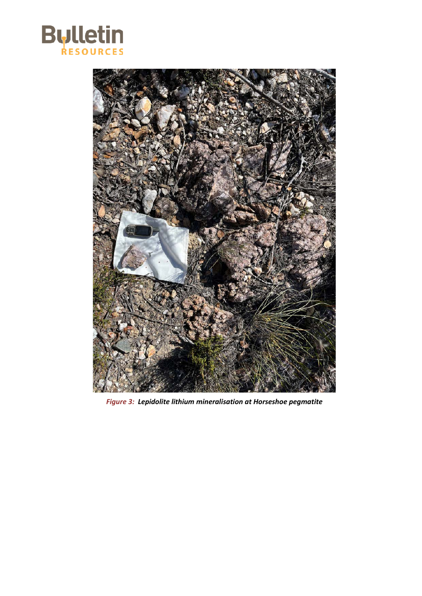



*Figure 3: Lepidolite lithium mineralisation at Horseshoe pegmatite*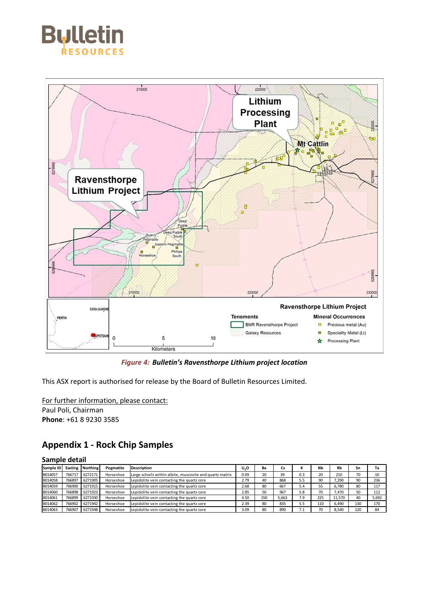



*Figure 4: Bulletin's Ravensthorpe Lithium project location*

This ASX report is authorised for release by the Board of Bulletin Resources Limited.

For further information, please contact: Paul Poli, Chairman **Phone**: +61 8 9230 3585

### **Appendix 1 - Rock Chip Samples**

#### **Sample detail**

| Sample ID      | Easting | Northing | Pegmatite | <b>Description</b>                                       | Li <sub>2</sub> O | Ba  | Cs    | N   | <b>Nb</b> | <b>Rb</b> | Sn  | Ta    |
|----------------|---------|----------|-----------|----------------------------------------------------------|-------------------|-----|-------|-----|-----------|-----------|-----|-------|
| B014057        | 766717  | 6272171  | Horseshoe | Large schorls within albite, muscovite and quartz matrix | 0.09              | 20  | 39    | 0.3 | 20        | 210       | 70  | 10    |
| B014058        | 766897  | 6271905  | Horseshoe | Lepidolite vein contacting the quartz core               | 2.79              | 40  | 868   | 5.5 | 90        | 7.290     | 90  | 236   |
| B014059        | 766900  | 6271915  | Horseshoe | Lepidolite vein contacting the quartz core               | 2.68              | 80  | 667   | 5.4 | 55        | 6.780     | 80  | 117   |
| <b>B014060</b> | 766898  | 6271923  | Horseshoe | Lepidolite vein contacting the quartz core               | 2.85              | 50  | 967   | 5.8 | 70        | 7.470     | 50  | 112   |
| B014061        | 766899  | 6271930  | Horseshoe | Lepidolite vein contacting the quartz core               | 4.50              | 150 | 5.663 | 7.9 | 225       | 11,570    | 40  | 5,692 |
| B014062        | 766902  | 6271942  | Horseshoe | Lepidolite vein contacting the quartz core               | 2.39              | 80  | 835   | 5.5 | 110       | 6,490     | 130 | 170   |
| B014063        | 766907  | 6271948  | Horseshoe | Lepidolite vein contacting the quartz core               | 3.09              | 80  | 890   | 7.1 | 70        | 8,540     | 120 | 84    |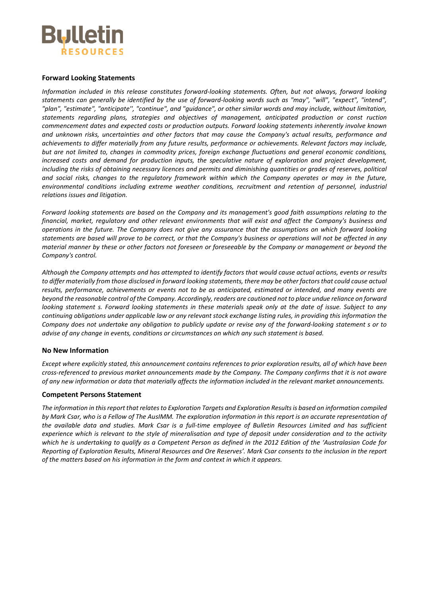

#### **Forward Looking Statements**

*Information included in this release constitutes forward-looking statements. Often, but not always, forward looking statements can generally be identified by the use of forward-looking words such as "may", "will", "expect", "intend", "plan", "estimate", "anticipate'', "continue", and "guidance", or other similar words and may include, without limitation, statements regarding plans, strategies and objectives of management, anticipated production or const ruction commencement dates and expected costs or production outputs. Forward looking statements inherently involve known and unknown risks, uncertainties and other factors that may cause the Company's actual results, performance and achievements to differ materially from any future results, performance or achievements. Relevant factors may include, but are not limited to, changes in commodity prices, foreign exchange fluctuations and general economic conditions, increased costs and demand for production inputs, the speculative nature of exploration and project development, including the risks of obtaining necessary licences and permits and diminishing quantities or grades of reserves, political and social risks, changes to the regulatory framework within which the Company operates or may in the future,*  environmental conditions including extreme weather conditions, recruitment and retention of personnel, industrial *relations issues and litigation.*

*Forward looking statements are based on the Company and its management's good faith assumptions relating to the financial, market, regulatory and other relevant environments that will exist and affect the Company's business and operations in the future. The Company does not give any assurance that the assumptions on which forward looking statements are based will prove to be correct, or that the Company's business or operations will not be affected in any material manner by these or other factors not foreseen or foreseeable by the Company or management or beyond the Company's control.*

*Although the Company attempts and has attempted to identify factors that would cause actual actions, events or results to differ materially from those disclosed in forward looking statements, there may be other factors that could cause actual results, performance, achievements or events not to be as anticipated, estimated or intended, and many events are beyond the reasonable control of the Company. Accordingly, readers are cautioned not to place undue reliance on forward looking statement s. Forward looking statements in these materials speak only at the date of issue. Subject to any continuing obligations under applicable law or any relevant stock exchange listing rules, in providing this information the Company does not undertake any obligation to publicly update or revise any of the forward-looking statement s or to advise of any change in events, conditions or circumstances on which any such statement is based.*

#### **No New Information**

*Except where explicitly stated, this announcement contains references to prior exploration results, all of which have been cross-referenced to previous market announcements made by the Company. The Company confirms that it is not aware of any new information or data that materially affects the information included in the relevant market announcements.*

#### **Competent Persons Statement**

*The information in this report that relates to Exploration Targets and Exploration Results is based on information compiled by Mark Csar, who is a Fellow of The AusIMM. The exploration information in this report is an accurate representation of the available data and studies. Mark Csar is a full-time employee of Bulletin Resources Limited and has sufficient experience which is relevant to the style of mineralisation and type of deposit under consideration and to the activity which he is undertaking to qualify as a Competent Person as defined in the 2012 Edition of the 'Australasian Code for Reporting of Exploration Results, Mineral Resources and Ore Reserves'. Mark Csar consents to the inclusion in the report of the matters based on his information in the form and context in which it appears.*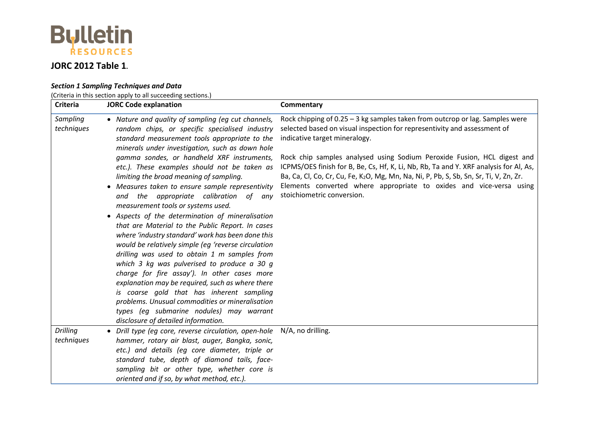

## **JORC 2012 Table 1.**

### *Section 1 Sampling Techniques and Data*

(Criteria in this section apply to all succeeding sections.)

| <b>Criteria</b>        | <b>JORC Code explanation</b>                                                                                                                                                                                                                                                                                                                                                                                                                                                                                                                                                                                                                                                                                                                                                                                                                                                                                                                                                                                                                                                                    | Commentary                                                                                                                                                                                                                                                                                                                                                                                                                                                                                                                                                               |
|------------------------|-------------------------------------------------------------------------------------------------------------------------------------------------------------------------------------------------------------------------------------------------------------------------------------------------------------------------------------------------------------------------------------------------------------------------------------------------------------------------------------------------------------------------------------------------------------------------------------------------------------------------------------------------------------------------------------------------------------------------------------------------------------------------------------------------------------------------------------------------------------------------------------------------------------------------------------------------------------------------------------------------------------------------------------------------------------------------------------------------|--------------------------------------------------------------------------------------------------------------------------------------------------------------------------------------------------------------------------------------------------------------------------------------------------------------------------------------------------------------------------------------------------------------------------------------------------------------------------------------------------------------------------------------------------------------------------|
| Sampling<br>techniques | • Nature and quality of sampling (eg cut channels,<br>random chips, or specific specialised industry<br>standard measurement tools appropriate to the<br>minerals under investigation, such as down hole<br>gamma sondes, or handheld XRF instruments,<br>etc.). These examples should not be taken as<br>limiting the broad meaning of sampling.<br>• Measures taken to ensure sample representivity<br>and the appropriate calibration of any<br>measurement tools or systems used.<br>• Aspects of the determination of mineralisation<br>that are Material to the Public Report. In cases<br>where 'industry standard' work has been done this<br>would be relatively simple (eg 'reverse circulation<br>drilling was used to obtain 1 m samples from<br>which 3 kg was pulverised to produce a 30 g<br>charge for fire assay'). In other cases more<br>explanation may be required, such as where there<br>is coarse gold that has inherent sampling<br>problems. Unusual commodities or mineralisation<br>types (eg submarine nodules) may warrant<br>disclosure of detailed information. | Rock chipping of 0.25 - 3 kg samples taken from outcrop or lag. Samples were<br>selected based on visual inspection for representivity and assessment of<br>indicative target mineralogy.<br>Rock chip samples analysed using Sodium Peroxide Fusion, HCL digest and<br>ICPMS/OES finish for B, Be, Cs, Hf, K, Li, Nb, Rb, Ta and Y. XRF analysis for Al, As,<br>Ba, Ca, Cl, Co, Cr, Cu, Fe, K <sub>2</sub> O, Mg, Mn, Na, Ni, P, Pb, S, Sb, Sn, Sr, Ti, V, Zn, Zr.<br>Elements converted where appropriate to oxides and vice-versa using<br>stoichiometric conversion. |
| Drilling<br>techniques | • Drill type (eg core, reverse circulation, open-hole N/A, no drilling.<br>hammer, rotary air blast, auger, Bangka, sonic,<br>etc.) and details (eg core diameter, triple or<br>standard tube, depth of diamond tails, face-<br>sampling bit or other type, whether core is<br>oriented and if so, by what method, etc.).                                                                                                                                                                                                                                                                                                                                                                                                                                                                                                                                                                                                                                                                                                                                                                       |                                                                                                                                                                                                                                                                                                                                                                                                                                                                                                                                                                          |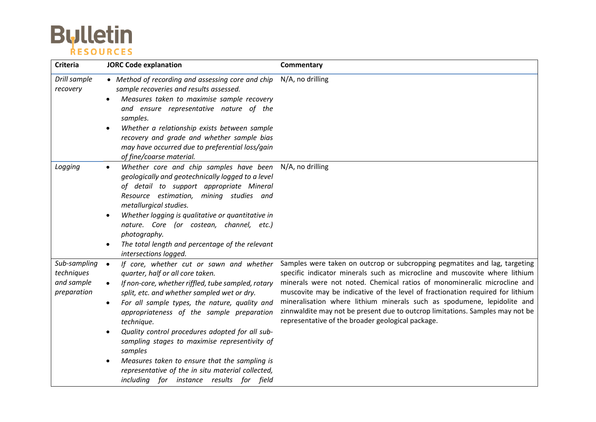# **Bulletin**

| <b>Criteria</b>                                         | <b>JORC Code explanation</b>                                                                                                                                                                                                                                                                                                                                                                                                                                                                                                                                                                          | Commentary                                                                                                                                                                                                                                                                                                                                                                                                                                                                                                                              |
|---------------------------------------------------------|-------------------------------------------------------------------------------------------------------------------------------------------------------------------------------------------------------------------------------------------------------------------------------------------------------------------------------------------------------------------------------------------------------------------------------------------------------------------------------------------------------------------------------------------------------------------------------------------------------|-----------------------------------------------------------------------------------------------------------------------------------------------------------------------------------------------------------------------------------------------------------------------------------------------------------------------------------------------------------------------------------------------------------------------------------------------------------------------------------------------------------------------------------------|
| Drill sample<br>recovery                                | • Method of recording and assessing core and chip<br>sample recoveries and results assessed.<br>Measures taken to maximise sample recovery<br>$\bullet$<br>and ensure representative nature of the<br>samples.<br>Whether a relationship exists between sample<br>$\bullet$<br>recovery and grade and whether sample bias<br>may have occurred due to preferential loss/gain<br>of fine/coarse material.                                                                                                                                                                                              | N/A, no drilling                                                                                                                                                                                                                                                                                                                                                                                                                                                                                                                        |
| Logging                                                 | Whether core and chip samples have been N/A, no drilling<br>$\bullet$<br>geologically and geotechnically logged to a level<br>of detail to support appropriate Mineral<br>Resource estimation, mining studies and<br>metallurgical studies.<br>Whether logging is qualitative or quantitative in<br>$\bullet$<br>nature. Core (or costean, channel, etc.)<br>photography.<br>The total length and percentage of the relevant<br>intersections logged.                                                                                                                                                 |                                                                                                                                                                                                                                                                                                                                                                                                                                                                                                                                         |
| Sub-sampling<br>techniques<br>and sample<br>preparation | If core, whether cut or sawn and whether<br>$\bullet$<br>quarter, half or all core taken.<br>If non-core, whether riffled, tube sampled, rotary<br>$\bullet$<br>split, etc. and whether sampled wet or dry.<br>For all sample types, the nature, quality and<br>$\bullet$<br>appropriateness of the sample preparation<br>technique.<br>Quality control procedures adopted for all sub-<br>sampling stages to maximise representivity of<br>samples<br>Measures taken to ensure that the sampling is<br>representative of the in situ material collected,<br>including for instance results for field | Samples were taken on outcrop or subcropping pegmatites and lag, targeting<br>specific indicator minerals such as microcline and muscovite where lithium<br>minerals were not noted. Chemical ratios of monomineralic microcline and<br>muscovite may be indicative of the level of fractionation required for lithium<br>mineralisation where lithium minerals such as spodumene, lepidolite and<br>zinnwaldite may not be present due to outcrop limitations. Samples may not be<br>representative of the broader geological package. |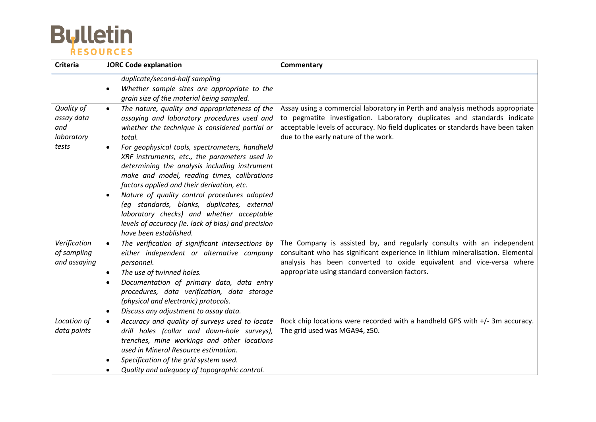# **Bulletin**

| <b>Criteria</b>                                        | <b>JORC Code explanation</b>                                                                                                                                                                                                                                                                                                                                                                                                                                                                                                                                                                                                                         | Commentary                                                                                                                                                                                                                                                                           |
|--------------------------------------------------------|------------------------------------------------------------------------------------------------------------------------------------------------------------------------------------------------------------------------------------------------------------------------------------------------------------------------------------------------------------------------------------------------------------------------------------------------------------------------------------------------------------------------------------------------------------------------------------------------------------------------------------------------------|--------------------------------------------------------------------------------------------------------------------------------------------------------------------------------------------------------------------------------------------------------------------------------------|
|                                                        | duplicate/second-half sampling<br>Whether sample sizes are appropriate to the<br>grain size of the material being sampled.                                                                                                                                                                                                                                                                                                                                                                                                                                                                                                                           |                                                                                                                                                                                                                                                                                      |
| Quality of<br>assay data<br>and<br>laboratory<br>tests | The nature, quality and appropriateness of the<br>$\bullet$<br>assaying and laboratory procedures used and<br>whether the technique is considered partial or<br>total.<br>For geophysical tools, spectrometers, handheld<br>XRF instruments, etc., the parameters used in<br>determining the analysis including instrument<br>make and model, reading times, calibrations<br>factors applied and their derivation, etc.<br>Nature of quality control procedures adopted<br>(eg standards, blanks, duplicates, external<br>laboratory checks) and whether acceptable<br>levels of accuracy (ie. lack of bias) and precision<br>have been established. | Assay using a commercial laboratory in Perth and analysis methods appropriate<br>to pegmatite investigation. Laboratory duplicates and standards indicate<br>acceptable levels of accuracy. No field duplicates or standards have been taken<br>due to the early nature of the work. |
| Verification<br>of sampling<br>and assaying            | The verification of significant intersections by<br>$\bullet$<br>either independent or alternative company<br>personnel.<br>The use of twinned holes.<br>$\bullet$<br>Documentation of primary data, data entry<br>procedures, data verification, data storage<br>(physical and electronic) protocols.<br>Discuss any adjustment to assay data.<br>$\bullet$                                                                                                                                                                                                                                                                                         | The Company is assisted by, and regularly consults with an independent<br>consultant who has significant experience in lithium mineralisation. Elemental<br>analysis has been converted to oxide equivalent and vice-versa where<br>appropriate using standard conversion factors.   |
| Location of<br>data points                             | Accuracy and quality of surveys used to locate<br>$\bullet$<br>drill holes (collar and down-hole surveys),<br>trenches, mine workings and other locations<br>used in Mineral Resource estimation.<br>Specification of the grid system used.<br>Quality and adequacy of topographic control.                                                                                                                                                                                                                                                                                                                                                          | Rock chip locations were recorded with a handheld GPS with +/- 3m accuracy.<br>The grid used was MGA94, z50.                                                                                                                                                                         |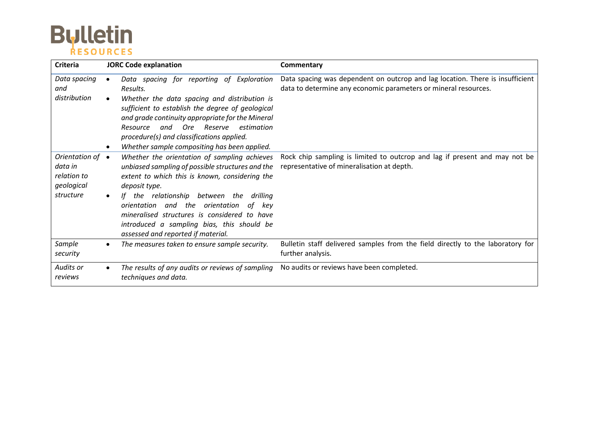# **Bulletin**

| <b>Criteria</b>                                                               | <b>JORC Code explanation</b>                                                                                                                                                                                                                                                                                                                                                                               | Commentary                                                                                                                                       |  |
|-------------------------------------------------------------------------------|------------------------------------------------------------------------------------------------------------------------------------------------------------------------------------------------------------------------------------------------------------------------------------------------------------------------------------------------------------------------------------------------------------|--------------------------------------------------------------------------------------------------------------------------------------------------|--|
| Data spacing<br>and<br>distribution                                           | Data spacing for reporting of Exploration<br>Results.<br>Whether the data spacing and distribution is<br>sufficient to establish the degree of geological<br>and grade continuity appropriate for the Mineral<br><b>Ore</b><br>and<br>Reserve<br>estimation<br>Resource<br>procedure(s) and classifications applied.<br>Whether sample compositing has been applied.                                       | Data spacing was dependent on outcrop and lag location. There is insufficient<br>data to determine any economic parameters or mineral resources. |  |
| Orientation of $\bullet$<br>data in<br>relation to<br>geological<br>structure | Whether the orientation of sampling achieves<br>unbiased sampling of possible structures and the<br>extent to which this is known, considering the<br>deposit type.<br>the relationship between the<br>lf.<br>drillina<br>orientation and the orientation<br>of<br>kev<br>mineralised structures is considered to have<br>introduced a sampling bias, this should be<br>assessed and reported if material. | Rock chip sampling is limited to outcrop and lag if present and may not be<br>representative of mineralisation at depth.                         |  |
| Sample<br>security                                                            | The measures taken to ensure sample security.                                                                                                                                                                                                                                                                                                                                                              | Bulletin staff delivered samples from the field directly to the laboratory for<br>further analysis.                                              |  |
| Audits or<br>reviews                                                          | The results of any audits or reviews of sampling<br>techniques and data.                                                                                                                                                                                                                                                                                                                                   | No audits or reviews have been completed.                                                                                                        |  |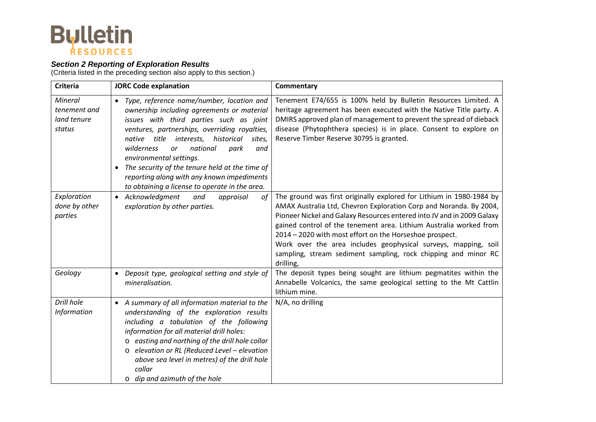

### *Section 2 Reporting of Exploration Results*

(Criteria listed in the preceding section also apply to this section.)

| <b>Criteria</b>                                  | <b>JORC Code explanation</b>                                                                                                                                                                                                                                                                                                                                                                                                                                                                              | Commentary                                                                                                                                                                                                                                                                                                                                                                                                                                                                                             |
|--------------------------------------------------|-----------------------------------------------------------------------------------------------------------------------------------------------------------------------------------------------------------------------------------------------------------------------------------------------------------------------------------------------------------------------------------------------------------------------------------------------------------------------------------------------------------|--------------------------------------------------------------------------------------------------------------------------------------------------------------------------------------------------------------------------------------------------------------------------------------------------------------------------------------------------------------------------------------------------------------------------------------------------------------------------------------------------------|
| Mineral<br>tenement and<br>land tenure<br>status | Type, reference name/number, location and<br>$\bullet$<br>ownership including agreements or material<br>issues with third parties such as joint<br>ventures, partnerships, overriding royalties,<br>title<br>interests,<br>historical<br>native<br>sites.<br>national<br>wilderness<br>park<br><b>or</b><br>and<br>environmental settings.<br>The security of the tenure held at the time of<br>$\bullet$<br>reporting along with any known impediments<br>to obtaining a license to operate in the area. | Tenement E74/655 is 100% held by Bulletin Resources Limited. A<br>heritage agreement has been executed with the Native Title party. A<br>DMIRS approved plan of management to prevent the spread of dieback<br>disease (Phytophthera species) is in place. Consent to explore on<br>Reserve Timber Reserve 30795 is granted.                                                                                                                                                                           |
| Exploration<br>done by other<br>parties          | • Acknowledgment<br>and<br>appraisal<br>of<br>exploration by other parties.                                                                                                                                                                                                                                                                                                                                                                                                                               | The ground was first originally explored for Lithium in 1980-1984 by<br>AMAX Australia Ltd, Chevron Exploration Corp and Noranda. By 2004,<br>Pioneer Nickel and Galaxy Resources entered into JV and in 2009 Galaxy<br>gained control of the tenement area. Lithium Australia worked from<br>2014 - 2020 with most effort on the Horseshoe prospect.<br>Work over the area includes geophysical surveys, mapping, soil<br>sampling, stream sediment sampling, rock chipping and minor RC<br>drilling, |
| Geology                                          | Deposit type, geological setting and style of<br>$\bullet$<br>mineralisation.                                                                                                                                                                                                                                                                                                                                                                                                                             | The deposit types being sought are lithium pegmatites within the<br>Annabelle Volcanics, the same geological setting to the Mt Cattlin<br>lithium mine.                                                                                                                                                                                                                                                                                                                                                |
| Drill hole<br><b>Information</b>                 | • A summary of all information material to the<br>understanding of the exploration results<br>including a tabulation of the following<br>information for all material drill holes:<br>easting and northing of the drill hole collar<br>$\circ$<br>elevation or RL (Reduced Level - elevation<br>$\circ$<br>above sea level in metres) of the drill hole<br>collar<br>$\circ$ dip and azimuth of the hole                                                                                                  | N/A, no drilling                                                                                                                                                                                                                                                                                                                                                                                                                                                                                       |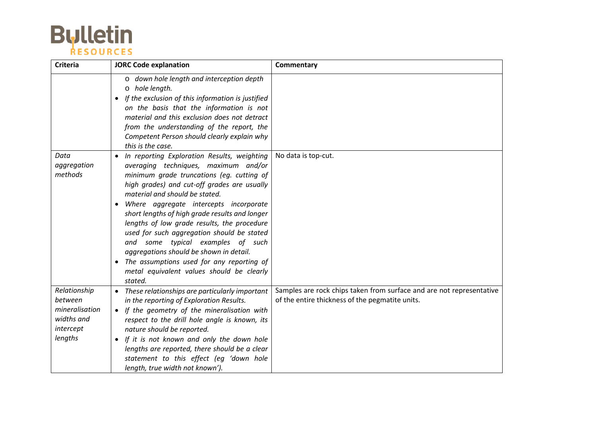

| <b>Criteria</b>                                                                 | <b>JORC Code explanation</b>                                                                                                                                                                                                                                                                                                                                                                                                                                                                                                                                                                                              | Commentary                                                                                                              |
|---------------------------------------------------------------------------------|---------------------------------------------------------------------------------------------------------------------------------------------------------------------------------------------------------------------------------------------------------------------------------------------------------------------------------------------------------------------------------------------------------------------------------------------------------------------------------------------------------------------------------------------------------------------------------------------------------------------------|-------------------------------------------------------------------------------------------------------------------------|
|                                                                                 | o down hole length and interception depth<br>o hole length.<br>If the exclusion of this information is justified<br>$\bullet$<br>on the basis that the information is not<br>material and this exclusion does not detract<br>from the understanding of the report, the<br>Competent Person should clearly explain why<br>this is the case.                                                                                                                                                                                                                                                                                |                                                                                                                         |
| Data<br>aggregation<br>methods                                                  | In reporting Exploration Results, weighting<br>$\bullet$<br>averaging techniques, maximum and/or<br>minimum grade truncations (eg. cutting of<br>high grades) and cut-off grades are usually<br>material and should be stated.<br>Where aggregate intercepts incorporate<br>short lengths of high grade results and longer<br>lengths of low grade results, the procedure<br>used for such aggregation should be stated<br>and some typical examples of such<br>aggregations should be shown in detail.<br>The assumptions used for any reporting of<br>$\bullet$<br>metal equivalent values should be clearly<br>stated. | No data is top-cut.                                                                                                     |
| Relationship<br>between<br>mineralisation<br>widths and<br>intercept<br>lengths | • These relationships are particularly important<br>in the reporting of Exploration Results.<br>• If the geometry of the mineralisation with<br>respect to the drill hole angle is known, its<br>nature should be reported.<br>If it is not known and only the down hole<br>lengths are reported, there should be a clear<br>statement to this effect (eg 'down hole<br>length, true width not known').                                                                                                                                                                                                                   | Samples are rock chips taken from surface and are not representative<br>of the entire thickness of the pegmatite units. |